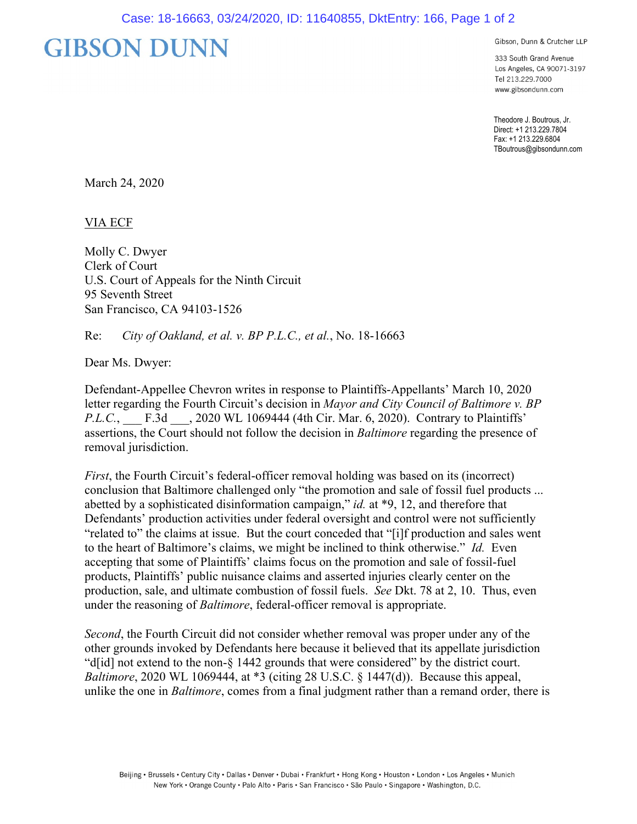## **GIBSON DUNN**

Gibson, Dunn & Crutcher LLP

333 South Grand Avenue Los Angeles, CA 90071-3197 Tel 213.229.7000 www.gibsondunn.com

Theodore J. Boutrous, Jr. Direct: +1 213.229.7804 Fax: +1 213.229.6804 TBoutrous@gibsondunn.com

March 24, 2020

VIA ECF

Molly C. Dwyer Clerk of Court U.S. Court of Appeals for the Ninth Circuit 95 Seventh Street San Francisco, CA 94103-1526

Re: *City of Oakland, et al. v. BP P.L.C., et al.*, No. 18-16663

Dear Ms. Dwyer:

Defendant-Appellee Chevron writes in response to Plaintiffs-Appellants' March 10, 2020 letter regarding the Fourth Circuit's decision in *Mayor and City Council of Baltimore v. BP P.L.C.*, **F.3d** , 2020 WL 1069444 (4th Cir. Mar. 6, 2020). Contrary to Plaintiffs' assertions, the Court should not follow the decision in *Baltimore* regarding the presence of removal jurisdiction.

*First*, the Fourth Circuit's federal-officer removal holding was based on its (incorrect) conclusion that Baltimore challenged only "the promotion and sale of fossil fuel products ... abetted by a sophisticated disinformation campaign," *id.* at \*9, 12, and therefore that Defendants' production activities under federal oversight and control were not sufficiently "related to" the claims at issue. But the court conceded that "[i]f production and sales went to the heart of Baltimore's claims, we might be inclined to think otherwise." *Id.* Even accepting that some of Plaintiffs' claims focus on the promotion and sale of fossil-fuel products, Plaintiffs' public nuisance claims and asserted injuries clearly center on the production, sale, and ultimate combustion of fossil fuels. *See* Dkt. 78 at 2, 10. Thus, even under the reasoning of *Baltimore*, federal-officer removal is appropriate.

*Second*, the Fourth Circuit did not consider whether removal was proper under any of the other grounds invoked by Defendants here because it believed that its appellate jurisdiction "d[id] not extend to the non-§ 1442 grounds that were considered" by the district court. *Baltimore*, 2020 WL 1069444, at \*3 (citing 28 U.S.C. § 1447(d)). Because this appeal, unlike the one in *Baltimore*, comes from a final judgment rather than a remand order, there is